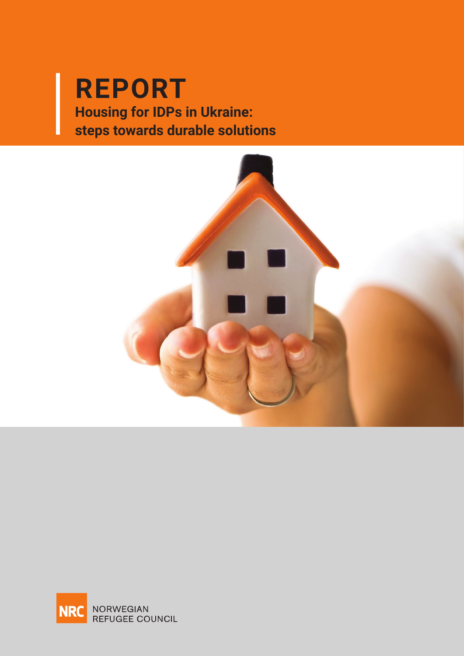# REPORT **REPORT**<br> **Property Board 2019 Housing for IDPs in Ukraine: steps towards durable solutions**



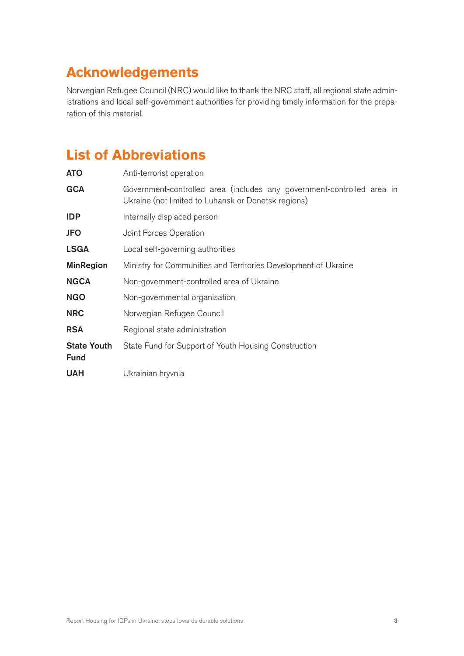# <span id="page-2-0"></span>**Acknowledgements**

Norwegian Refugee Council (NRC) would like to thank the NRC staff, all regional state administrations and local self-government authorities for providing timely information for the preparation of this material.

# **List of Abbreviations**

| <b>ATO</b>                        | Anti-terrorist operation                                                                                                      |
|-----------------------------------|-------------------------------------------------------------------------------------------------------------------------------|
| <b>GCA</b>                        | Government-controlled area (includes any government-controlled area in<br>Ukraine (not limited to Luhansk or Donetsk regions) |
| <b>IDP</b>                        | Internally displaced person                                                                                                   |
| <b>JFO</b>                        | Joint Forces Operation                                                                                                        |
| <b>LSGA</b>                       | Local self-governing authorities                                                                                              |
| <b>MinRegion</b>                  | Ministry for Communities and Territories Development of Ukraine                                                               |
| <b>NGCA</b>                       | Non-government-controlled area of Ukraine                                                                                     |
| <b>NGO</b>                        | Non-governmental organisation                                                                                                 |
| <b>NRC</b>                        | Norwegian Refugee Council                                                                                                     |
| <b>RSA</b>                        | Regional state administration                                                                                                 |
| <b>State Youth</b><br><b>Fund</b> | State Fund for Support of Youth Housing Construction                                                                          |
| <b>UAH</b>                        | Ukrainian hryvnia                                                                                                             |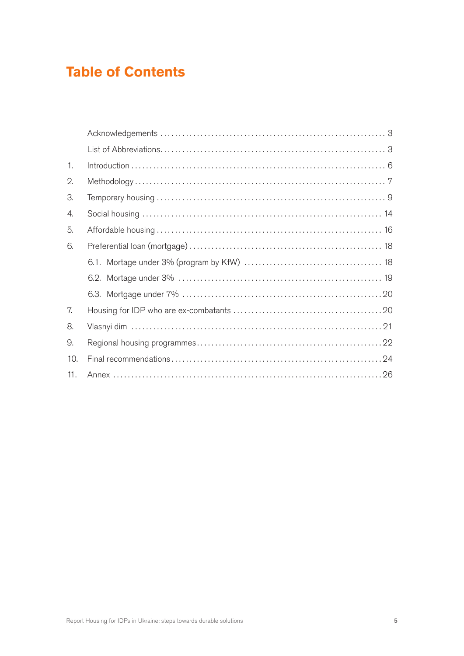# **Table of Contents**

| $\mathbf{1}$ . |  |
|----------------|--|
| $\mathbf{2}$ . |  |
| 3.             |  |
| 4.             |  |
| 5.             |  |
| 6.             |  |
|                |  |
|                |  |
|                |  |
| 7.             |  |
| 8.             |  |
| 9.             |  |
| 10.            |  |
| 11.            |  |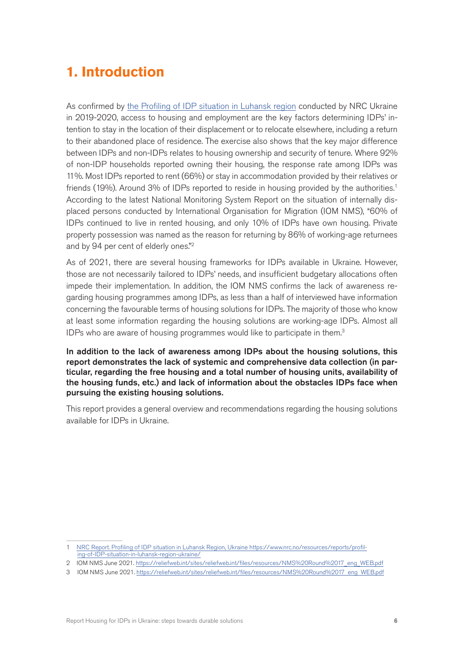# <span id="page-5-0"></span>**1. Introduction**

As confirmed by [the Profiling of IDP situation in Luhansk region](https://reliefweb.int/report/ukraine/profiling-idp-situation-luhansk-region-ukraine-data-driven-approach-durable-solutions?fbclid=IwAR37ULSrDdD22aOE7PWRf-YxXP4pKdHV_7dOMWGD85xjDGwcgG84rskqe_w) conducted by NRC Ukraine in 2019-2020, access to housing and employment are the key factors determining IDPs' intention to stay in the location of their displacement or to relocate elsewhere, including a return to their abandoned place of residence. The exercise also shows that the key major difference between IDPs and non-IDPs relates to housing ownership and security of tenure. Where 92% of non-IDP households reported owning their housing, the response rate among IDPs was 11%. Most IDPs reported to rent (66%) or stay in accommodation provided by their relatives or friends (19%). Around 3% of IDPs reported to reside in housing provided by the authorities.<sup>1</sup> According to the latest National Monitoring System Report on the situation of internally displaced persons conducted by International Organisation for Migration (IOM NMS), "60% of IDPs continued to live in rented housing, and only 10% of IDPs have own housing. Private property possession was named as the reason for returning by 86% of working-age returnees and by 94 per cent of elderly ones."2

As of 2021, there are several housing frameworks for IDPs available in Ukraine. However, those are not necessarily tailored to IDPs' needs, and insufficient budgetary allocations often impede their implementation. In addition, the IOM NMS confirms the lack of awareness regarding housing programmes among IDPs, as less than a half of interviewed have information concerning the favourable terms of housing solutions for IDPs. The majority of those who know at least some information regarding the housing solutions are working-age IDPs. Almost all IDPs who are aware of housing programmes would like to participate in them.3

In addition to the lack of awareness among IDPs about the housing solutions, this report demonstrates the lack of systemic and comprehensive data collection (in particular, regarding the free housing and a total number of housing units, availability of the housing funds, etc.) and lack of information about the obstacles IDPs face when pursuing the existing housing solutions.

This report provides a general overview and recommendations regarding the housing solutions available for IDPs in Ukraine.

<sup>1</sup> [NRC Report. Profiling of IDP situation in Luhansk Region, Ukraine https://www.nrc.no/resources/reports/profil](https://www.nrc.no/resources/reports/profiling-of-IDP-situation-in-luhansk-region-ukraine/)[ing-of-IDP-situation-in-luhansk-region-ukraine/](https://www.nrc.no/resources/reports/profiling-of-IDP-situation-in-luhansk-region-ukraine/)

<sup>2</sup> IOM NMS June 2021. [https://reliefweb.int/sites/reliefweb.int/files/resources/NMS%20Round%2017\\_eng\\_WEB.pdf](https://reliefweb.int/sites/reliefweb.int/files/resources/NMS%20Round%2017_eng_WEB.pdf)

<sup>3</sup> IOM NMS June 2021. [https://reliefweb.int/sites/reliefweb.int/files/resources/NMS%20Round%2017\\_eng\\_WEB.pdf](https://reliefweb.int/sites/reliefweb.int/files/resources/NMS%20Round%2017_eng_WEB.pdf)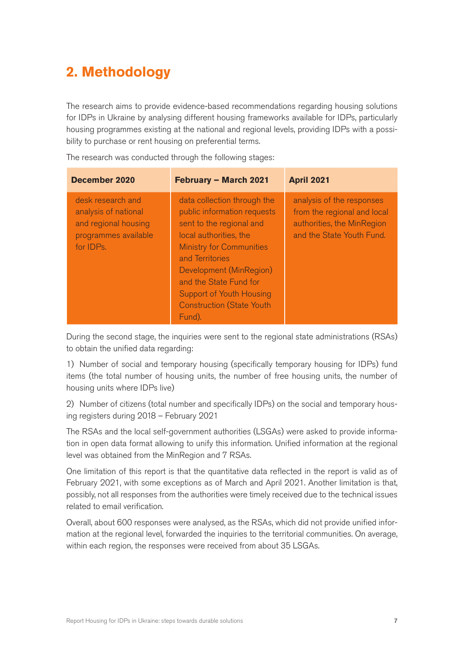# <span id="page-6-0"></span>**2. Methodology**

The research aims to provide evidence-based recommendations regarding housing solutions for IDPs in Ukraine by analysing different housing frameworks available for IDPs, particularly housing programmes existing at the national and regional levels, providing IDPs with a possibility to purchase or rent housing on preferential terms.

**December 2020 February – March 2021 April 2021** desk research and analysis of national and regional housing programmes available for IDPs. data collection through the public information requests sent to the regional and local authorities, the Ministry for Communities and Territories Development (MinRegion) and the State Fund for Support of Youth Housing Construction (State Youth Fund). analysis of the responses from the regional and local authorities, the MinRegion and the State Youth Fund.

The research was conducted through the following stages:

During the second stage, the inquiries were sent to the regional state administrations (RSAs) to obtain the unified data regarding:

1) Number of social and temporary housing (specifically temporary housing for IDPs) fund items (the total number of housing units, the number of free housing units, the number of housing units where IDPs live)

2) Number of citizens (total number and specifically IDPs) on the social and temporary housing registers during 2018 – February 2021

The RSAs and the local self-government authorities (LSGAs) were asked to provide information in open data format allowing to unify this information. Unified information at the regional level was obtained from the MinRegion and 7 RSAs.

One limitation of this report is that the quantitative data reflected in the report is valid as of February 2021, with some exceptions as of March and April 2021. Another limitation is that, possibly, not all responses from the authorities were timely received due to the technical issues related to email verification.

Overall, about 600 responses were analysed, as the RSAs, which did not provide unified information at the regional level, forwarded the inquiries to the territorial communities. On average, within each region, the responses were received from about 35 LSGAs.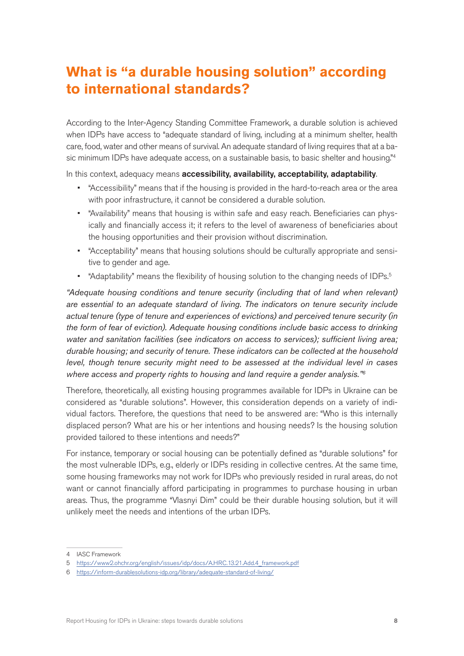# **What is "a durable housing solution" according to international standards?**

According to the Inter-Agency Standing Committee Framework, a durable solution is achieved when IDPs have access to "adequate standard of living, including at a minimum shelter, health care, food, water and other means of survival. An adequate standard of living requires that at a basic minimum IDPs have adequate access, on a sustainable basis, to basic shelter and housing.<sup>"4</sup>

In this context, adequacy means accessibility, availability, acceptability, adaptability.

- "Accessibility" means that if the housing is provided in the hard-to-reach area or the area with poor infrastructure, it cannot be considered a durable solution.
- "Availability" means that housing is within safe and easy reach. Beneficiaries can physically and financially access it; it refers to the level of awareness of beneficiaries about the housing opportunities and their provision without discrimination.
- "Acceptability" means that housing solutions should be culturally appropriate and sensitive to gender and age.
- "Adaptability" means the flexibility of housing solution to the changing needs of IDPs.<sup>5</sup>

*"Adequate housing conditions and tenure security (including that of land when relevant) are essential to an adequate standard of living. The indicators on tenure security include actual tenure (type of tenure and experiences of evictions) and perceived tenure security (in the form of fear of eviction). Adequate housing conditions include basic access to drinking*  water and sanitation facilities (see indicators on access to services); sufficient living area; *durable housing; and security of tenure. These indicators can be collected at the household level, though tenure security might need to be assessed at the individual level in cases where access and property rights to housing and land require a gender analysis."6*

Therefore, theoretically, all existing housing programmes available for IDPs in Ukraine can be considered as "durable solutions". However, this consideration depends on a variety of individual factors. Therefore, the questions that need to be answered are: "Who is this internally displaced person? What are his or her intentions and housing needs? Is the housing solution provided tailored to these intentions and needs?"

For instance, temporary or social housing can be potentially defined as "durable solutions" for the most vulnerable IDPs, e.g., elderly or IDPs residing in collective centres. At the same time, some housing frameworks may not work for IDPs who previously resided in rural areas, do not want or cannot financially afford participating in programmes to purchase housing in urban areas. Thus, the programme "Vlasnyi Dim" could be their durable housing solution, but it will unlikely meet the needs and intentions of the urban IDPs.

<sup>4</sup> IASC Framework

<sup>5</sup> [https://www2.ohchr.org/english/issues/idp/docs/A.HRC.13.21.Add.4\\_framework.pdf](https://www2.ohchr.org/english/issues/idp/docs/A.HRC.13.21.Add.4_framework.pdf)

<sup>6</sup> <https://inform-durablesolutions-idp.org/library/adequate-standard-of-living/>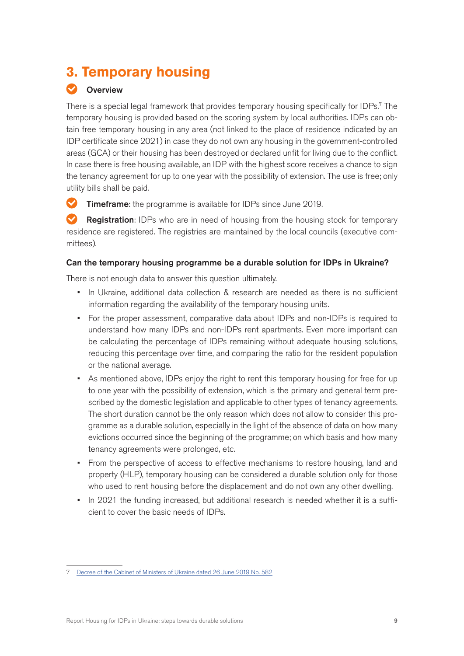# <span id="page-8-0"></span>**3. Temporary housing**

## **Overview**

There is a special legal framework that provides temporary housing specifically for IDPs.<sup>7</sup> The temporary housing is provided based on the scoring system by local authorities. IDPs can obtain free temporary housing in any area (not linked to the place of residence indicated by an IDP certificate since 2021) in case they do not own any housing in the government-controlled areas (GCA) or their housing has been destroyed or declared unfit for living due to the conflict. In case there is free housing available, an IDP with the highest score receives a chance to sign the tenancy agreement for up to one year with the possibility of extension. The use is free; only utility bills shall be paid.

 $\bullet$ Timeframe: the programme is available for IDPs since June 2019.

Registration: IDPs who are in need of housing from the housing stock for temporary residence are registered. The registries are maintained by the local councils (executive committees).

## Can the temporary housing programme be a durable solution for IDPs in Ukraine?

There is not enough data to answer this question ultimately.

- In Ukraine, additional data collection & research are needed as there is no sufficient information regarding the availability of the temporary housing units.
- For the proper assessment, comparative data about IDPs and non-IDPs is required to understand how many IDPs and non-IDPs rent apartments. Even more important can be calculating the percentage of IDPs remaining without adequate housing solutions, reducing this percentage over time, and comparing the ratio for the resident population or the national average.
- As mentioned above, IDPs enjoy the right to rent this temporary housing for free for up to one year with the possibility of extension, which is the primary and general term prescribed by the domestic legislation and applicable to other types of tenancy agreements. The short duration cannot be the only reason which does not allow to consider this programme as a durable solution, especially in the light of the absence of data on how many evictions occurred since the beginning of the programme; on which basis and how many tenancy agreements were prolonged, etc.
- From the perspective of access to effective mechanisms to restore housing, land and property (HLP), temporary housing can be considered a durable solution only for those who used to rent housing before the displacement and do not own any other dwelling.
- In 2021 the funding increased, but additional research is needed whether it is a sufficient to cover the basic needs of IDPs.

<sup>7</sup> [Decree of the Cabinet of Ministers of Ukraine dated 26 June 2019 No. 582](https://zakon.rada.gov.ua/laws/show/582-2019-%D0%BF/print)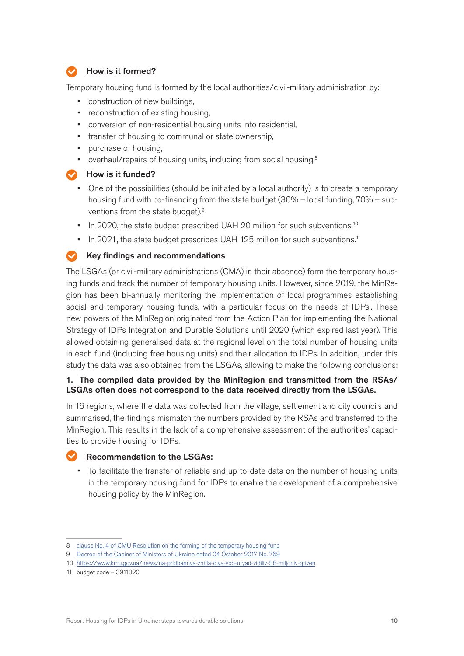## How is it formed?

Temporary housing fund is formed by the local authorities/civil-military administration by:

- construction of new buildings,
- reconstruction of existing housing,
- conversion of non-residential housing units into residential,
- transfer of housing to communal or state ownership,
- purchase of housing,
- overhaul/repairs of housing units, including from social housing.<sup>8</sup>

#### $\blacktriangleright$  How is it funded?

- One of the possibilities (should be initiated by a local authority) is to create a temporary housing fund with co-financing from the state budget (30% – local funding, 70% – subventions from the state budget).9
- In 2020, the state budget prescribed UAH 20 million for such subventions.<sup>10</sup>
- In 2021, the state budget prescribes UAH 125 million for such subventions.<sup>11</sup>

#### Key findings and recommendations  $\bullet$

The LSGAs (or civil-military administrations (СMA) in their absence) form the temporary housing funds and track the number of temporary housing units. However, since 2019, the MinRegion has been bi-annually monitoring the implementation of local programmes establishing social and temporary housing funds, with a particular focus on the needs of IDPs.. These new powers of the MinRegion originated from the Action Plan for implementing the National Strategy of IDPs Integration and Durable Solutions until 2020 (which expired last year). This allowed obtaining generalised data at the regional level on the total number of housing units in each fund (including free housing units) and their allocation to IDPs. In addition, under this study the data was also obtained from the LSGAs, allowing to make the following conclusions:

## 1. The compiled data provided by the MinRegion and transmitted from the RSAs/ LSGAs often does not correspond to the data received directly from the LSGAs.

In 16 regions, where the data was collected from the village, settlement and city councils and summarised, the findings mismatch the numbers provided by the RSAs and transferred to the MinRegion. This results in the lack of a comprehensive assessment of the authorities' capacities to provide housing for IDPs.

## Recommendation to the LSGAs:

• To facilitate the transfer of reliable and up-to-date data on the number of housing units in the temporary housing fund for IDPs to enable the development of a comprehensive housing policy by the MinRegion.

<sup>8</sup> [clause No. 4 of CMU Resolution on the forming of the temporary housing fund](https://zakon.rada.gov.ua/laws/show/582-2019-%D0%BF#Text)

<sup>9</sup> [Decree of the Cabinet of Ministers of Ukraine dated 04 October 2017 No. 769](https://zakon.rada.gov.ua/laws/show/en/769-2017-%D0%BF)

<sup>10</sup> <https://www.kmu.gov.ua/news/na-pridbannya-zhitla-dlya-vpo-uryad-vidiliv-56-miljoniv-griven>

<sup>11</sup> budget code – 3911020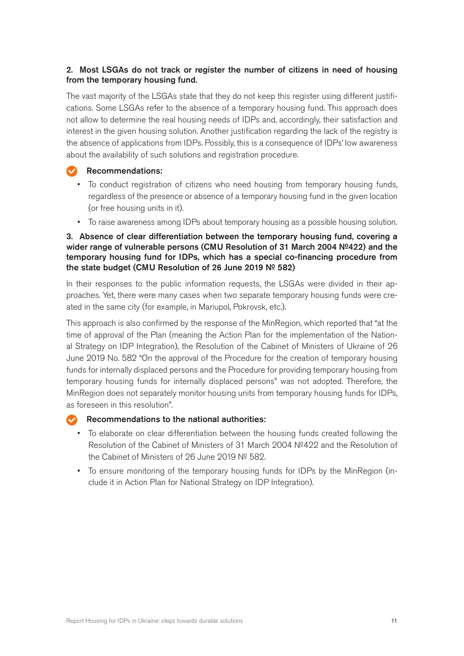## 2. Most LSGAs do not track or register the number of citizens in need of housing from the temporary housing fund.

The vast majority of the LSGAs state that they do not keep this register using different justifications. Some LSGAs refer to the absence of a temporary housing fund. This approach does not allow to determine the real housing needs of IDPs and, accordingly, their satisfaction and interest in the given housing solution. Another justification regarding the lack of the registry is the absence of applications from IDPs. Possibly, this is a consequence of IDPs' low awareness about the availability of such solutions and registration procedure.

## Recommendations:

- To conduct registration of citizens who need housing from temporary housing funds, regardless of the presence or absence of a temporary housing fund in the given location (or free housing units in it).
- To raise awareness among IDPs about temporary housing as a possible housing solution.

## 3. Absence of clear differentiation between the temporary housing fund, covering a wider range of vulnerable persons (CMU Resolution of 31 March 2004 №422) and the temporary housing fund for IDPs, which has a special co-financing procedure from the state budget (CMU Resolution of 26 June 2019 № 582)

In their responses to the public information requests, the LSGAs were divided in their approaches. Yet, there were many cases when two separate temporary housing funds were created in the same city (for example, in Mariupol, Pokrovsk, etc.).

This approach is also confirmed by the response of the MinRegion, which reported that "at the time of approval of the Plan (meaning the Action Plan for the implementation of the National Strategy on IDP Integration), the Resolution of the Cabinet of Ministers of Ukraine of 26 June 2019 No. 582 "On the approval of the Procedure for the creation of temporary housing funds for internally displaced persons and the Procedure for providing temporary housing from temporary housing funds for internally displaced persons" was not adopted. Therefore, the MinRegion does not separately monitor housing units from temporary housing funds for IDPs, as foreseen in this resolution".

## Recommendations to the national authorities:

- To elaborate on clear differentiation between the housing funds created following the Resolution of the Cabinet of Ministers of 31 March 2004 №422 and the Resolution of the Cabinet of Ministers of 26 June 2019 № 582.
- To ensure monitoring of the temporary housing funds for IDPs by the MinRegion (include it in Action Plan for National Strategy on IDP Integration).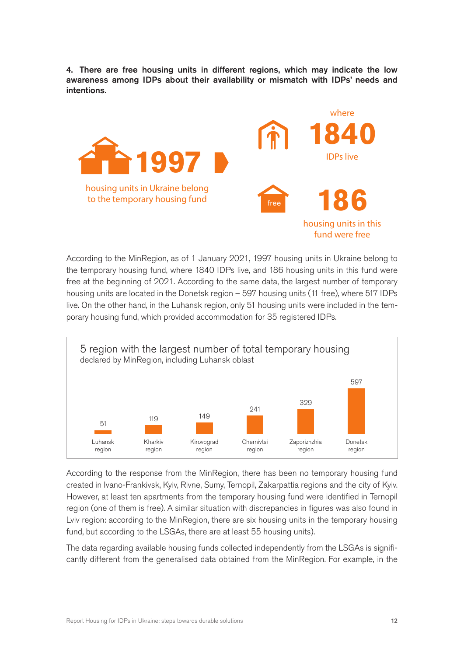4. There are free housing units in different regions, which may indicate the low awareness among IDPs about their availability or mismatch with IDPs' needs and intentions.



According to the MinRegion, as of 1 January 2021, 1997 housing units in Ukraine belong to the temporary housing fund, where 1840 IDPs live, and 186 housing units in this fund were free at the beginning of 2021. According to the same data, the largest number of temporary housing units are located in the Donetsk region – 597 housing units (11 free), where 517 IDPs live. On the other hand, in the Luhansk region, only 51 housing units were included in the temporary housing fund, which provided accommodation for 35 registered IDPs.



According to the response from the MinRegion, there has been no temporary housing fund created in Ivano-Frankivsk, Kyiv, Rivne, Sumy, Ternopil, Zakarpattia regions and the city of Kyiv. However, at least ten apartments from the temporary housing fund were identified in Ternopil region (one of them is free). A similar situation with discrepancies in figures was also found in Lviv region: according to the MinRegion, there are six housing units in the temporary housing fund, but according to the LSGAs, there are at least 55 housing units).

The data regarding available housing funds collected independently from the LSGAs is significantly different from the generalised data obtained from the MinRegion. For example, in the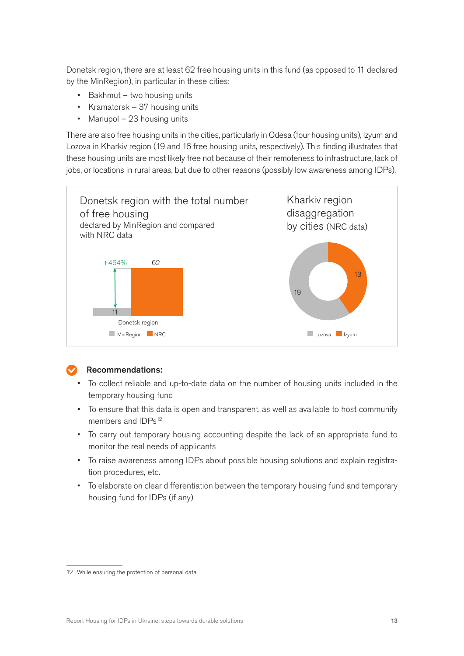Donetsk region, there are at least 62 free housing units in this fund (as opposed to 11 declared by the MinRegion), in particular in these cities:

- Bakhmut two housing units
- Kramatorsk 37 housing units
- Mariupol 23 housing units

There are also free housing units in the cities, particularly in Odesa (four housing units), Izyum and Lozova in Kharkiv region (19 and 16 free housing units, respectively). This finding illustrates that these housing units are most likely free not because of their remoteness to infrastructure, lack of jobs, or locations in rural areas, but due to other reasons (possibly low awareness among IDPs).



## Recommendations:

- To collect reliable and up-to-date data on the number of housing units included in the temporary housing fund
- To ensure that this data is open and transparent, as well as available to host community members and IDPs<sup>12</sup>
- To carry out temporary housing accounting despite the lack of an appropriate fund to monitor the real needs of applicants
- To raise awareness among IDPs about possible housing solutions and explain registration procedures, etc.
- To elaborate on clear differentiation between the temporary housing fund and temporary housing fund for IDPs (if any)

<sup>12</sup> While ensuring the protection of personal data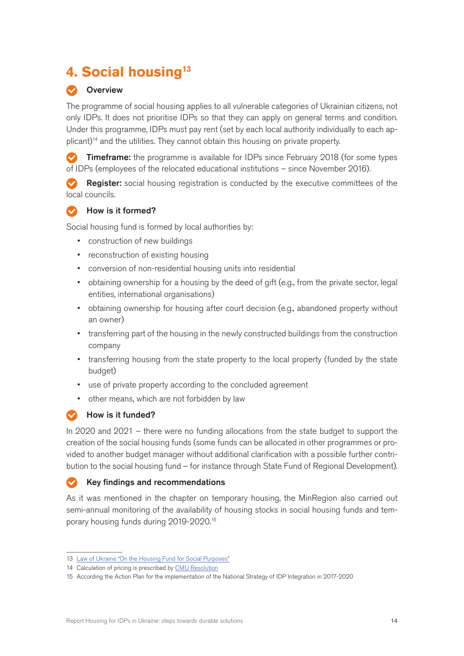# <span id="page-13-0"></span>**4. Social housing13**

## **Overview**

The programme of social housing applies to all vulnerable categories of Ukrainian citizens, not only IDPs. It does not prioritise IDPs so that they can apply on general terms and condition. Under this programme, IDPs must pay rent (set by each local authority individually to each applicant)<sup>14</sup> and the utilities. They cannot obtain this housing on private property.

 $\triangledown$  **Timeframe:** the programme is available for IDPs since February 2018 (for some types of IDPs (employeеs of the relocated educational institutions – since November 2016).

Register: social housing registration is conducted by the executive committees of the local councils.

#### How is it formed?  $\bullet$

Social housing fund is formed by local authorities by:

- construction of new buildings
- reconstruction of existing housing
- conversion of non-residential housing units into residential
- obtaining ownership for a housing by the deed of gift (e.g., from the private sector, legal entities, international organisations)
- obtaining ownership for housing after court decision (e.g., abandoned property without an owner)
- transferring part of the housing in the newly constructed buildings from the construction company
- transferring housing from the state property to the local property (funded by the state budget)
- use of private property according to the concluded agreement
- other means, which are not forbidden by law

## How is it funded?

In 2020 and 2021 – there were no funding allocations from the state budget to support the creation of the social housing funds (some funds can be allocated in other programmes or provided to another budget manager without additional clarification with a possible further contribution to the social housing fund – for instance through State Fund of Regional Development).

#### Key findings and recommendations  $\overline{\mathcal{L}}$

As it was mentioned in the chapter on temporary housing, the MinRegion also carried out semi-annual monitoring of the availability of housing stocks in social housing funds and temporary housing funds during 2019-2020.15

<sup>13</sup> [Law of Ukraine "On the Housing Fund for Social Purposes"](https://zakon.rada.gov.ua/laws/show/3334-15/sp:head-:max25)

<sup>14</sup> Calculation of pricing is prescribed by [CMU Resolution](https://zakon.rada.gov.ua/laws/show/155-2007-%D0%BF#Text)

<sup>15</sup> According the Action Plan for the implementation of the National Strategy of IDP Integration in 2017-2020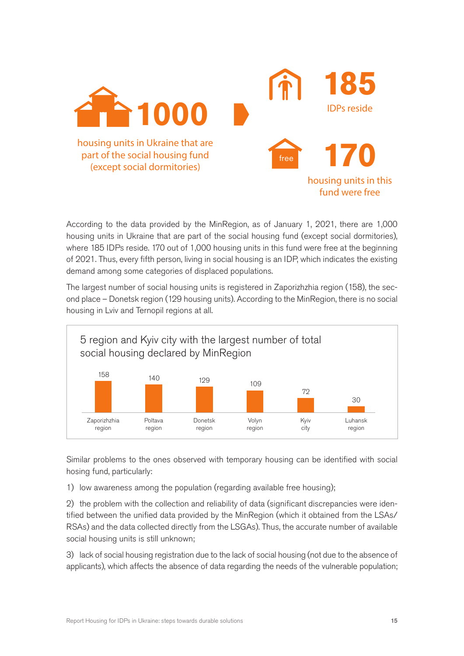

According to the data provided by the MinRegion, as of January 1, 2021, there are 1,000 housing units in Ukraine that are part of the social housing fund (except social dormitories), where 185 IDPs reside. 170 out of 1,000 housing units in this fund were free at the beginning of 2021. Thus, every fifth person, living in social housing is an IDP, which indicates the existing demand among some categories of displaced populations.

The largest number of social housing units is registered in Zaporizhzhia region (158), the second place – Donetsk region (129 housing units). According to the MinRegion, there is no social housing in Lviv and Ternopil regions at all.



Similar problems to the ones observed with temporary housing can be identified with social hosing fund, particularly:

1) low awareness among the population (regarding available free housing);

2) the problem with the collection and reliability of data (significant discrepancies were identified between the unified data provided by the MinRegion (which it obtained from the LSAs/ RSAs) and the data collected directly from the LSGAs). Thus, the accurate number of available social housing units is still unknown;

3) lack of social housing registration due to the lack of social housing (not due to the absence of applicants), which affects the absence of data regarding the needs of the vulnerable population;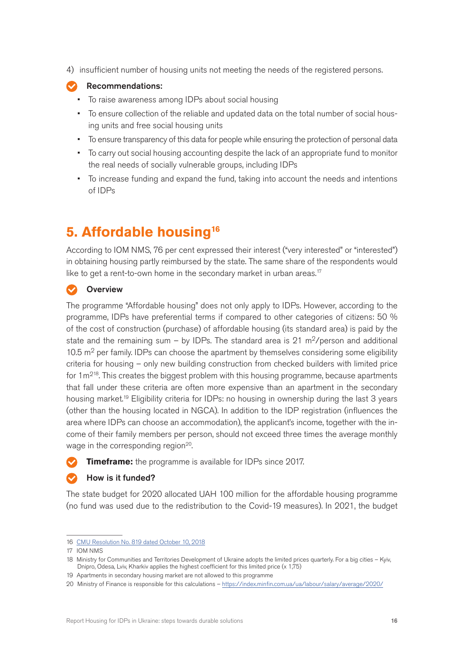<span id="page-15-0"></span>4) insufficient number of housing units not meeting the needs of the registered persons.



#### Recommendations:

- To raise awareness among IDPs about social housing
- To ensure collection of the reliable and updated data on the total number of social housing units and free social housing units
- To ensure transparency of this data for people while ensuring the protection of personal data
- To carry out social housing accounting despite the lack of an appropriate fund to monitor the real needs of socially vulnerable groups, including IDPs
- To increase funding and expand the fund, taking into account the needs and intentions of IDPs

# **5. Affordable housing16**

According to IOM NMS, 76 per cent expressed their interest ("very interested" or "interested") in obtaining housing partly reimbursed by the state. The same share of the respondents would like to get a rent-to-own home in the secondary market in urban areas.<sup>17</sup>

## **Overview**

The programme "Affordable housing" does not only apply to IDPs. However, according to the programme, IDPs have preferential terms if compared to other categories of citizens: 50 % of the cost of construction (purchase) of affordable housing (its standard area) is paid by the state and the remaining sum – by IDPs. The standard area is 21 m<sup>2</sup>/person and additional 10.5  $m<sup>2</sup>$  per family. IDPs can choose the apartment by themselves considering some eligibility criteria for housing – only new building construction from checked builders with limited price for  $1m^{218}$ . This creates the biggest problem with this housing programme, because apartments that fall under these criteria are often more expensive than an apartment in the secondary housing market.<sup>19</sup> Eligibility criteria for IDPs: no housing in ownership during the last 3 years (other than the housing located in NGCA). In addition to the IDP registration (influences the area where IDPs can choose an accommodation), the applicant's income, together with the income of their family members per person, should not exceed three times the average monthly wage in the corresponding region<sup>20</sup>.

**Timeframe:** the programme is available for IDPs since 2017.

## How is it funded?

The state budget for 2020 allocated UAH 100 million for the affordable housing programme (no fund was used due to the redistribution to the Covid-19 measures). In 2021, the budget

<sup>16</sup> [CMU Resolution No. 819 dated October 10, 2018](https://zakon.rada.gov.ua/laws/show/819-2018-%D0%BF#Text)

<sup>17</sup> IOM NMS

<sup>18</sup> Ministry for Communities and Territories Development of Ukraine adopts the limited prices quarterly. For a big cities – Kyiv, Dnipro, Odesa, Lviv, Kharkiv applies the highest coefficient for this limited price (x 1,75)

<sup>19</sup> Apartments in secondary housing market are not allowed to this programme

<sup>20</sup> Ministry of Finance is responsible for this calculations – <https://index.minfin.com.ua/ua/labour/salary/average/2020/>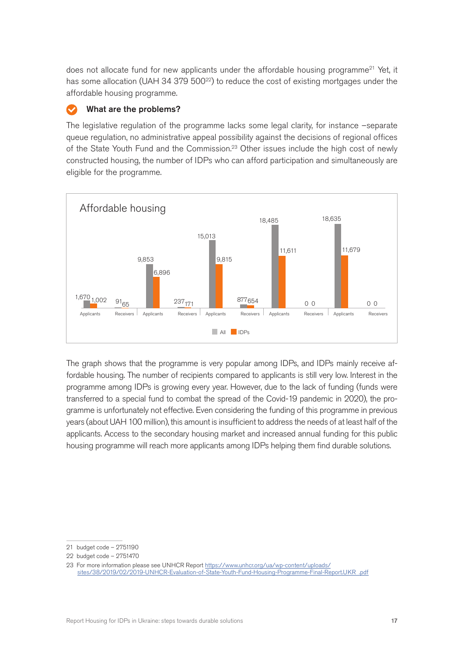does not allocate fund for new applicants under the affordable housing programme<sup>21</sup> Yet, it has some allocation (UAH 34 379 500<sup>22</sup>) to reduce the cost of existing mortgages under the affordable housing programme.

## What are the problems?

The legislative regulation of the programme lacks some legal clarity, for instance –separate queue regulation, no administrative appeal possibility against the decisions of regional offices of the State Youth Fund and the Commission.<sup>23</sup> Other issues include the high cost of newly constructed housing, the number of IDPs who can afford participation and simultaneously are eligible for the programme.



The graph shows that the programme is very popular among IDPs, and IDPs mainly receive affordable housing. The number of recipients compared to applicants is still very low. Interest in the programme among IDPs is growing every year. However, due to the lack of funding (funds were transferred to a special fund to combat the spread of the Covid-19 pandemic in 2020), the programme is unfortunately not effective. Even considering the funding of this programme in previous years (about UAH 100 million), this amount is insufficient to address the needs of at least half of the applicants. Access to the secondary housing market and increased annual funding for this public housing programme will reach more applicants among IDPs helping them find durable solutions.

<sup>21</sup> budget code – 2751190

<sup>22</sup> budget code – 2751470

<sup>23</sup> For more information please see UNHCR Report [https://www.unhcr.org/ua/wp-content/uploads/](https://www.unhcr.org/ua/wp-content/uploads/sites/38/2019/02/2019-UNHCR-Evaluation-of-State-Youth-Fund-Housing-Programme-Final-Report.UKR_.pdf) [sites/38/2019/02/2019-UNHCR-Evaluation-of-State-Youth-Fund-Housing-Programme-Final-Report.UKR\\_.pdf](https://www.unhcr.org/ua/wp-content/uploads/sites/38/2019/02/2019-UNHCR-Evaluation-of-State-Youth-Fund-Housing-Programme-Final-Report.UKR_.pdf)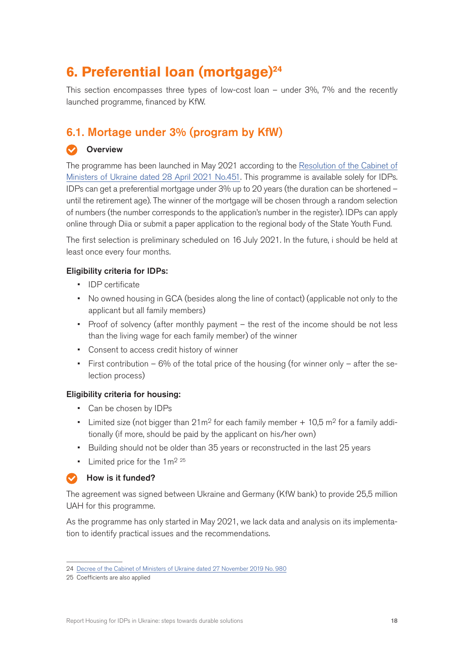# <span id="page-17-0"></span>**6. Preferential loan (mortgage)24**

This section encompasses three types of low-cost loan – under 3%, 7% and the recently launched programme, financed by KfW.

## 6.1. Mortage under 3% (program by KfW)

## **Overview**

The programme has been launched in May 2021 according to the [Resolution of the Cabinet of](https://www.kmu.gov.ua/npas/pitannya-nadannya-pilgovih-ipotechn-a451) [Ministers of Ukraine dated 28 April 2021 No.451](https://www.kmu.gov.ua/npas/pitannya-nadannya-pilgovih-ipotechn-a451). This programme is available solely for IDPs. IDPs can get a preferential mortgage under 3% up to 20 years (the duration can be shortened – until the retirement age). The winner of the mortgage will be chosen through a random selection of numbers (the number corresponds to the application's number in the register). IDPs can apply online through Diia or submit a paper application to the regional body of the State Youth Fund.

The first selection is preliminary scheduled on 16 July 2021. In the future, i should be held at least once every four months.

## Eligibility criteria for IDPs:

- IDP certificate
- No owned housing in GCA (besides along the line of contact) (applicable not only to the applicant but all family members)
- Proof of solvency (after monthly payment the rest of the income should be not less than the living wage for each family member) of the winner
- Consent to access credit history of winner
- First contribution  $-6\%$  of the total price of the housing (for winner only  $-$  after the selection process)

## Eligibility criteria for housing:

- Can be chosen by IDPs
- Limited size (not bigger than  $21m^2$  for each family member  $+10.5$  m<sup>2</sup> for a family additionally (if more, should be paid by the applicant on his/her own)
- Building should not be older than 35 years or reconstructed in the last 25 years
- Limited price for the  $1 \text{ m}^2$   $25$

## How is it funded?

The agreement was signed between Ukraine and Germany (KfW bank) to provide 25,5 million UAH for this programme.

As the programme has only started in May 2021, we lack data and analysis on its implementation to identify practical issues and the recommendations.

<sup>24</sup> [Decree of the Cabinet of Ministers of Ukraine dated 27 November 2019 No. 980](https://www.kmu.gov.ua/npas/m980vnutrishno-peremishchenim-osobam-uchasnikam-provedennya-antiteroristichnoyi-operaciyi-ato-taabo-uchasnikam-provedennya-operaciyi-obyednanih-sil-oos-na-pridbannya-zhitla)

<sup>25</sup> Coefficients are also applied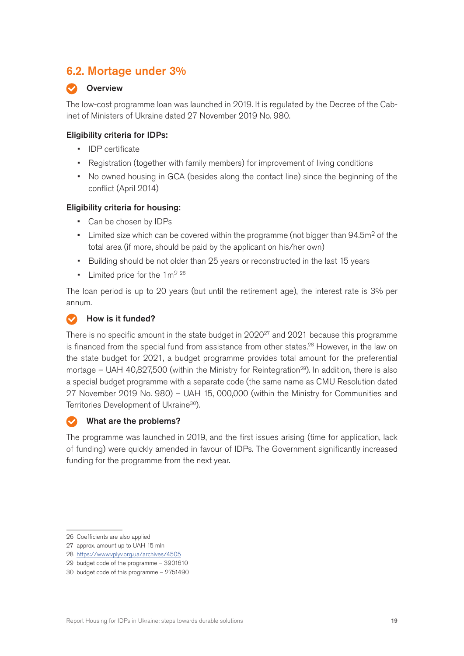## <span id="page-18-0"></span>6.2. Mortage under 3%

## **Overview**

The low-cost programme loan was launched in 2019. It is regulated by the Decree of the Cabinet of Ministers of Ukraine dated 27 November 2019 No. 980.

## Eligibility criteria for IDPs:

- IDP certificate
- Registration (together with family members) for improvement of living conditions
- No owned housing in GCA (besides along the contact line) since the beginning of the conflict (April 2014)

## Eligibility criteria for housing:

- Can be chosen by IDPs
- Limited size which can be covered within the programme (not bigger than  $94.5m<sup>2</sup>$  of the total area (if more, should be paid by the applicant on his/her own)
- Building should be not older than 25 years or reconstructed in the last 15 years
- Limited price for the  $1 \text{ m}^2$   $^{26}$

The loan period is up to 20 years (but until the retirement age), the interest rate is 3% per annum.

## How is it funded?

There is no specific amount in the state budget in  $2020^{27}$  and  $2021$  because this programme is financed from the special fund from assistance from other states.<sup>28</sup> However, in the law on the state budget for 2021, a budget programme provides total amount for the preferential mortage – UAH 40,827,500 (within the Ministry for Reintegration<sup>29</sup>). In addition, there is also a special budget programme with a separate code (the same name as CMU Resolution dated 27 November 2019 No. 980) – UAH 15, 000,000 (within the Ministry for Communities and Territories Development of Ukraine<sup>30</sup>).

## What are the problems?

The programme was launched in 2019, and the first issues arising (time for application, lack of funding) were quickly amended in favour of IDPs. The Government significantly increased funding for the programme from the next year.

<sup>26</sup> Coefficients are also applied

<sup>27</sup> approx. amount up to UAH 15 mln

<sup>28</sup> <https://www.vplyv.org.ua/archives/4505>

<sup>29</sup> budget code of the programme – 3901610

<sup>30</sup> budget code of this programme – 2751490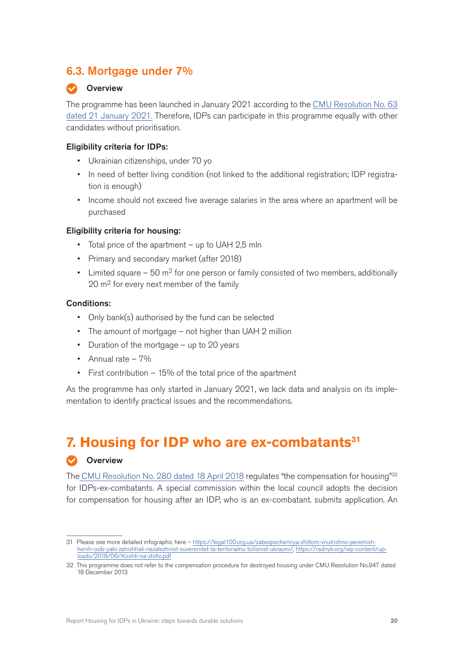## <span id="page-19-0"></span>6.3. Mortgage under 7%

## **Overview**

The programme has been launched in January 2021 according to the [CMU Resolution No. 63](https://zakon.rada.gov.ua/laws/show/63-2021-%D0%BF#Text) [dated 21 January 2021.](https://zakon.rada.gov.ua/laws/show/63-2021-%D0%BF#Text) Therefore, IDPs can participate in this programme equally with other candidates without prioritisation.

## Eligibility criteria for IDPs:

- Ukrainian citizenships, under 70 yo
- In need of better living condition (not linked to the additional registration; IDP registration is enough)
- Income should not exceed five average salaries in the area where an apartment will be purchased

#### Eligibility criteria for housing:

- Total price of the apartment up to UAH 2,5 mln
- Primary and secondary market (after 2018)
- Limited square  $-50$  m<sup>2</sup> for one person or family consisted of two members, additionally 20 m<sup>2</sup> for every next member of the family

#### Conditions:

- Only bank(s) authorised by the fund can be selected
- The amount of mortgage not higher than UAH 2 million
- Duration of the mortgage up to 20 years
- Annual rate  $-7\%$
- First contribution 15% of the total price of the apartment

As the programme has only started in January 2021, we lack data and analysis on its implementation to identify practical issues and the recommendations.

# **7. Housing for IDP who are ex-combatants31**

## **Overview**

Th[e CMU Resolution No. 280 dated 18 April 2018](https://zakon.rada.gov.ua/laws/show/280-2018-%D0%BF#Text) regulates "the compensation for housing"<sup>32</sup> for IDPs-ex-combatants. A special commission within the local council adopts the decision for compensation for housing after an IDP, who is an ex-combatant. submits application. An

<sup>31</sup> Please see more detailed infographic here – [https://legal100.org.ua/zabezpechennya-zhitlom-vnutrishno-peremish](https://legal100.org.ua/zabezpechennya-zhitlom-vnutrishno-peremishhenih-osib-yaki-zahishhali-nezalezhnist-suverenitet-ta-teritorialnu-tsilisnist-ukrayini/)[henih-osib-yaki-zahishhali-nezalezhnist-suverenitet-ta-teritorialnu-tsilisnist-ukrayini/](https://legal100.org.ua/zabezpechennya-zhitlom-vnutrishno-peremishhenih-osib-yaki-zahishhali-nezalezhnist-suverenitet-ta-teritorialnu-tsilisnist-ukrayini/), [https://radnyk.org/wp-content/up](https://radnyk.org/wp-content/uploads/2018/06/Koshti-na-zhitlo.pdf)[loads/2018/06/Koshti-na-zhitlo.pdf](https://radnyk.org/wp-content/uploads/2018/06/Koshti-na-zhitlo.pdf)

<sup>32</sup> This programme does not refer to the compensation procedure for destroyed housing under CMU Resolution No.947 dated 18 December 2013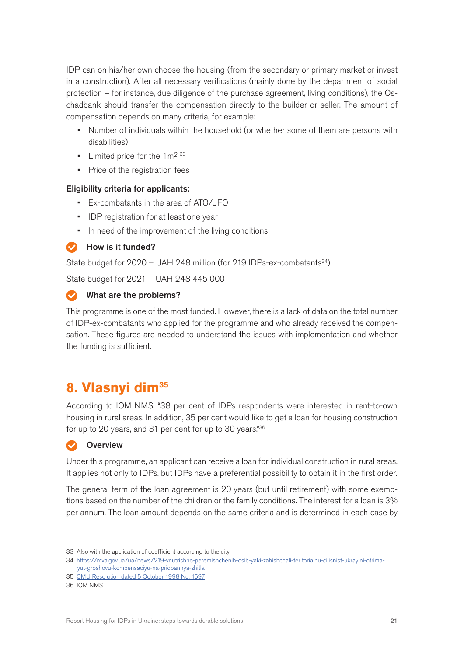<span id="page-20-0"></span>IDP can on his/her own choose the housing (from the secondary or primary market or invest in a construction). After all necessary verifications (mainly done by the department of social protection – for instance, due diligence of the purchase agreement, living conditions), the Oschadbank should transfer the compensation directly to the builder or seller. The amount of compensation depends on many criteria, for example:

- Number of individuals within the household (or whether some of them are persons with disabilities)
- Limited price for the  $1 \text{ m}^2$  33
- Price of the registration fees

## Eligibility criteria for applicants:

- Ex-combatants in the area of ATO/JFO
- IDP registration for at least one year
- In need of the improvement of the living conditions

How is it funded?

State budget for  $2020 - UAH 248$  million (for 219 IDPs-ex-combatants<sup>34</sup>)

State budget for 2021 – UAH 248 445 000

## What are the problems?

This programme is one of the most funded. However, there is a lack of data on the total number of IDP-ex-combatants who applied for the programme and who already received the compensation. These figures are needed to understand the issues with implementation and whether the funding is sufficient.

# **8. Vlasnyi dim35**

According to IOM NMS, "38 per cent of IDPs respondents were interested in rent-to-own housing in rural areas. In addition, 35 per cent would like to get a loan for housing construction for up to 20 years, and 31 per cent for up to 30 years."36

## **Overview**

Under this programme, an applicant can receive a loan for individual construction in rural areas. It applies not only to IDPs, but IDPs have a preferential possibility to obtain it in the first order.

The general term of the loan agreement is 20 years (but until retirement) with some exemptions based on the number of the children or the family conditions. The interest for a loan is 3% per annum. The loan amount depends on the same criteria and is determined in each case by

<sup>33</sup> Also with the application of coefficient according to the city

<sup>34</sup> [https://mva.gov.ua/ua/news/219-vnutrishno-peremishchenih-osib-yaki-zahishchali-teritorialnu-cilisnist-ukrayini-otrima](https://mva.gov.ua/ua/news/219-vnutrishno-peremishchenih-osib-yaki-zahishchali-teritorialnu-cilisnist-ukrayini-otrimayut-groshovu-kompensaciyu-na-pridbannya-zhitla)[yut-groshovu-kompensaciyu-na-pridbannya-zhitla](https://mva.gov.ua/ua/news/219-vnutrishno-peremishchenih-osib-yaki-zahishchali-teritorialnu-cilisnist-ukrayini-otrimayut-groshovu-kompensaciyu-na-pridbannya-zhitla)

<sup>35</sup> [CMU Resolution dated 5 October 1998 No. 1597](https://zakon.rada.gov.ua/laws/show/1597-98-%D0%BF#n11)

<sup>36</sup> IOM NMS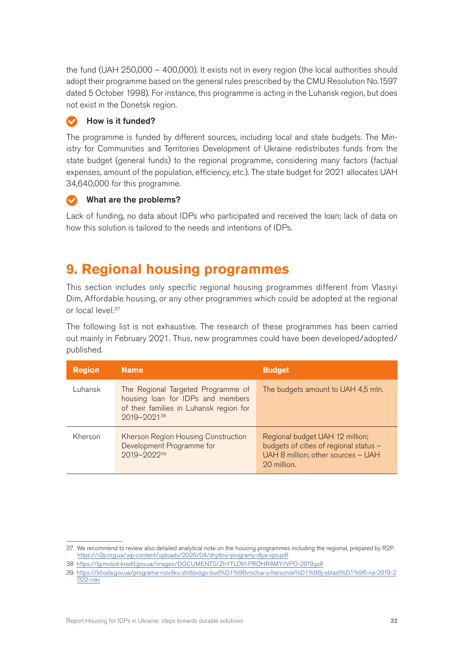<span id="page-21-0"></span>the fund (UAH 250,000 – 400,000). It exists not in every region (the local authorities should adopt their programme based on the general rules prescribed by the CMU Resolution No.1597 dated 5 October 1998). For instance, this programme is acting in the Luhansk region, but does not exist in the Donetsk region.

## How is it funded?

The programme is funded by different sources, including local and state budgets. The Ministry for Communities and Territories Development of Ukraine redistributes funds from the state budget (general funds) to the regional programme, considering many factors (factual expenses, amount of the population, efficiency, etc.). The state budget for 2021 allocates UAH 34,640,000 for this programme.

## What are the problems?

Lack of funding, no data about IDPs who participated and received the loan; lack of data on how this solution is tailored to the needs and intentions of IDPs.

## **9. Regional housing programmes**

This section includes only specific regional housing programmes different from Vlasnyi Dim, Affordable housing, or any other programmes which could be adopted at the regional or local level.<sup>37</sup>

The following list is not exhaustive. The research of these programmes has been carried out mainly in February 2021. Thus, new programmes could have been developed/adopted/ published.

| <b>Region</b> | <b>Name</b>                                                                                                                       | <b>Budget</b>                                                                                                                  |
|---------------|-----------------------------------------------------------------------------------------------------------------------------------|--------------------------------------------------------------------------------------------------------------------------------|
| Luhansk       | The Regional Targeted Programme of<br>housing loan for IDPs and members<br>of their families in Luhansk region for<br>2019-202138 | The budgets amount to UAH 4,5 mln.                                                                                             |
| Kherson       | Kherson Region Housing Construction<br>Development Programme for<br>2019-2022 <sup>39</sup>                                       | Regional budget UAH 12 million;<br>budgets of cities of regional status -<br>UAH 8 million; other sources - UAH<br>20 million. |

<sup>37</sup> We recommend to review also detailed analytical note on the housing programmes including the regional, prepared by R2P. <https://r2p.org.ua/wp-content/uploads/2020/04/zhytlovi-programy-dlya-vpo.pdf>

<sup>38</sup> <https://lg.molod-kredit.gov.ua/images/DOCUMENTS/ZhYTLOVI-PROHRAMY/VPO-2019.pdf>

<sup>39</sup> [https://khoda.gov.ua/programa-rozvitku-zhitlovogo-bud%D1%96vnictva-u-hersonsk%D1%96j-oblast%D1%96-na-2019-2](https://khoda.gov.ua/programa-rozvitku-zhitlovogo-bud%D1%96vnictva-u-hersonsk%D1%96j-oblast%D1%96-na-2019-2022-roki) [022-roki](https://khoda.gov.ua/programa-rozvitku-zhitlovogo-bud%D1%96vnictva-u-hersonsk%D1%96j-oblast%D1%96-na-2019-2022-roki)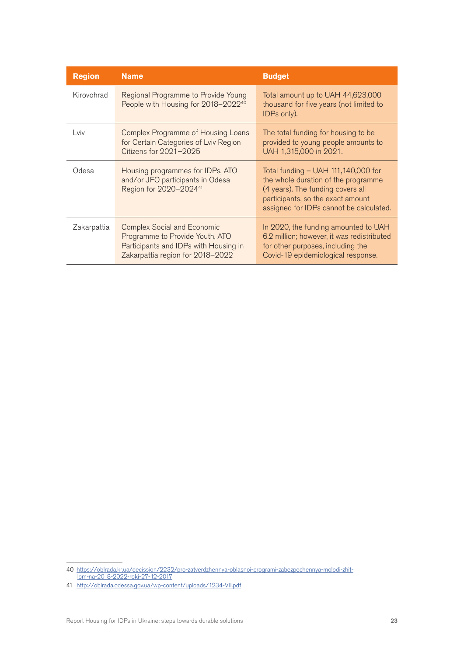| <b>Region</b> | <b>Name</b>                                                                                                                                        | <b>Budget</b>                                                                                                                                                                                     |
|---------------|----------------------------------------------------------------------------------------------------------------------------------------------------|---------------------------------------------------------------------------------------------------------------------------------------------------------------------------------------------------|
| Kirovohrad    | Regional Programme to Provide Young<br>People with Housing for 2018-2022 <sup>40</sup>                                                             | Total amount up to UAH 44,623,000<br>thousand for five years (not limited to<br>IDPs only).                                                                                                       |
| Lviv          | <b>Complex Programme of Housing Loans</b><br>for Certain Categories of Lviv Region<br>Citizens for 2021-2025                                       | The total funding for housing to be<br>provided to young people amounts to<br>UAH 1,315,000 in 2021.                                                                                              |
| Odesa         | Housing programmes for IDPs, ATO<br>and/or JFO participants in Odesa<br>Region for 2020-2024 <sup>41</sup>                                         | Total funding $-$ UAH 111,140,000 for<br>the whole duration of the programme<br>(4 years). The funding covers all<br>participants, so the exact amount<br>assigned for IDPs cannot be calculated. |
| Zakarpattia   | <b>Complex Social and Economic</b><br>Programme to Provide Youth, ATO<br>Participants and IDPs with Housing in<br>Zakarpattia region for 2018-2022 | In 2020, the funding amounted to UAH<br>6.2 million; however, it was redistributed<br>for other purposes, including the<br>Covid-19 epidemiological response.                                     |

<sup>40</sup> <https://oblrada.kr.ua/decission/2232/pro-zatverdzhennya-oblasnoi-programi-zabezpechennya-molodi-zhit>[lom-na-2018-2022-roki-27-12-2017](https://oblrada.kr.ua/decission/2232/pro-zatverdzhennya-oblasnoi-programi-zabezpechennya-molodi-zhit)

<sup>41</sup> <http://oblrada.odessa.gov.ua/wp-content/uploads/1234-VII.pdf>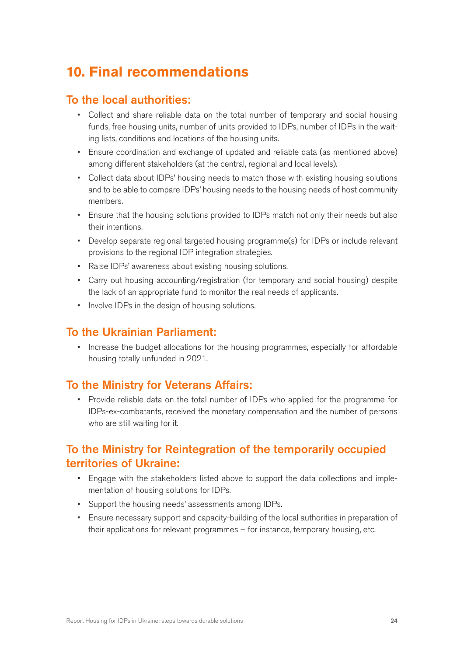# <span id="page-23-0"></span>**10. Final recommendations**

## To the local authorities:

- Collect and share reliable data on the total number of temporary and social housing funds, free housing units, number of units provided to IDPs, number of IDPs in the waiting lists, conditions and locations of the housing units.
- Ensure coordination and exchange of updated and reliable data (as mentioned above) among different stakeholders (at the central, regional and local levels).
- Collect data about IDPs' housing needs to match those with existing housing solutions and to be able to compare IDPs' housing needs to the housing needs of host community members.
- Ensure that the housing solutions provided to IDPs match not only their needs but also their intentions.
- Develop separate regional targeted housing programme(s) for IDPs or include relevant provisions to the regional IDP integration strategies.
- Raise IDPs' awareness about existing housing solutions.
- Carry out housing accounting/registration (for temporary and social housing) despite the lack of an appropriate fund to monitor the real needs of applicants.
- Involve IDPs in the design of housing solutions.

## To the Ukrainian Parliament:

• Increase the budget allocations for the housing programmes, especially for affordable housing totally unfunded in 2021.

## To the Ministry for Veterans Affairs:

• Provide reliable data on the total number of IDPs who applied for the programme for IDPs-ex-combatants, received the monetary compensation and the number of persons who are still waiting for it.

## To the Ministry for Reintegration of the temporarily occupied territories of Ukraine:

- Engage with the stakeholders listed above to support the data collections and implementation of housing solutions for IDPs.
- Support the housing needs' assessments among IDPs.
- Ensure necessary support and capacity-building of the local authorities in preparation of their applications for relevant programmes – for instance, temporary housing, etc.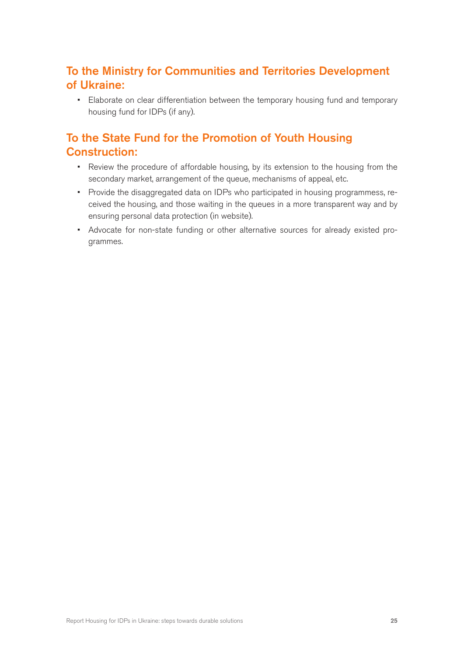## To the Ministry for Communities and Territories Development of Ukraine:

• Elaborate on clear differentiation between the temporary housing fund and temporary housing fund for IDPs (if any).

## To the State Fund for the Promotion of Youth Housing Construction:

- Review the procedure of affordable housing, by its extension to the housing from the secondary market, arrangement of the queue, mechanisms of appeal, etc.
- Provide the disaggregated data on IDPs who participated in housing programmess, received the housing, and those waiting in the queues in a more transparent way and by ensuring personal data protection (in website).
- Advocate for non-state funding or other alternative sources for already existed programmes.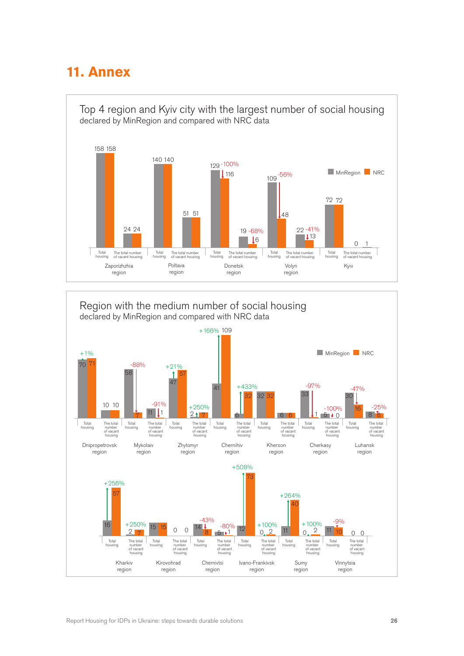# <span id="page-25-0"></span>**11. Annex**



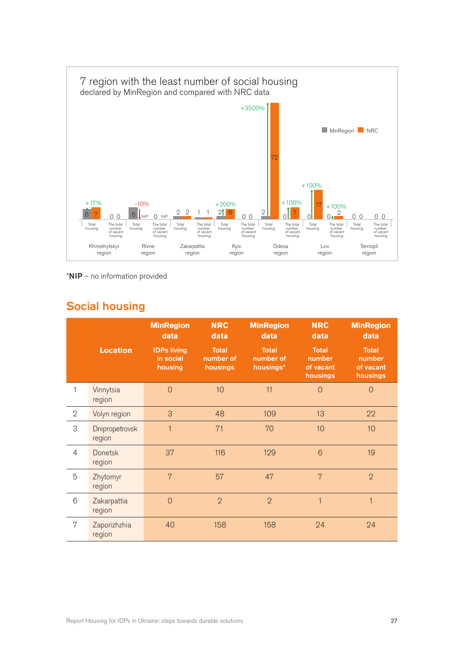

\*NIP – no information provided

## Social housing

|                |                          | <b>MinRegion</b><br>data                   | <b>NRC</b><br>data                    | <b>MinRegion</b><br>data               | <b>NRC</b><br>data                              | <b>MinRegion</b><br>data                        |
|----------------|--------------------------|--------------------------------------------|---------------------------------------|----------------------------------------|-------------------------------------------------|-------------------------------------------------|
|                | <b>Location</b>          | <b>IDPs living</b><br>in social<br>housing | <b>Total</b><br>number of<br>housings | <b>Total</b><br>number of<br>housings* | <b>Total</b><br>number<br>of vacant<br>housings | <b>Total</b><br>number<br>of vacant<br>housings |
| 1              | Vinnytsia<br>region      | $\overline{0}$                             | 10                                    | 11                                     | $\overline{O}$                                  | $\overline{0}$                                  |
| 2              | Volyn region             | 3                                          | 48                                    | 109                                    | 13                                              | 22                                              |
| 3              | Dnipropetrovsk<br>region | $\mathbf{1}$                               | 71                                    | 70                                     | 10                                              | 10                                              |
| $\overline{4}$ | <b>Donetsk</b><br>region | 37                                         | 116                                   | 129                                    | 6                                               | 19                                              |
| 5              | Zhytomyr<br>region       | $\overline{7}$                             | 57                                    | 47                                     | 7                                               | $\overline{2}$                                  |
| 6              | Zakarpattia<br>region    | $\overline{0}$                             | $\overline{2}$                        | $\overline{2}$                         | $\mathbf{1}$                                    | $\overline{1}$                                  |
| 7              | Zaporizhzhia<br>region   | 40                                         | 158                                   | 158                                    | 24                                              | 24                                              |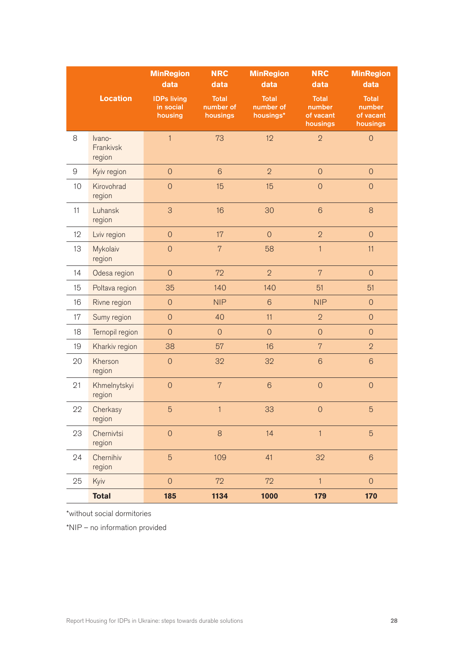|            |                               | <b>MinRegion</b><br>data                   | <b>NRC</b><br>data                    | <b>MinRegion</b><br>data               | <b>NRC</b><br>data                              | <b>MinRegion</b><br>data                        |
|------------|-------------------------------|--------------------------------------------|---------------------------------------|----------------------------------------|-------------------------------------------------|-------------------------------------------------|
|            | Location                      | <b>IDPs living</b><br>in social<br>housing | <b>Total</b><br>number of<br>housings | <b>Total</b><br>number of<br>housings* | <b>Total</b><br>number<br>of vacant<br>housings | <b>Total</b><br>number<br>of vacant<br>housings |
| 8          | Ivano-<br>Frankivsk<br>region | $\mathbf{1}$                               | 73                                    | 12                                     | $\overline{2}$                                  | $\mathsf O$                                     |
| $\hbox{9}$ | Kyiv region                   | $\mathsf{O}\xspace$                        | $6\phantom{1}$                        | $\overline{2}$                         | $\mathsf{O}$                                    | $\overline{O}$                                  |
| 10         | Kirovohrad<br>region          | $\overline{O}$                             | 15                                    | 15                                     | $\overline{O}$                                  | $\overline{O}$                                  |
| 11         | Luhansk<br>region             | 3                                          | 16                                    | 30                                     | $6\phantom{1}$                                  | 8                                               |
| 12         | Lviv region                   | $\mathsf{O}\xspace$                        | 17                                    | $\mathsf{O}$                           | $\overline{2}$                                  | $\overline{O}$                                  |
| 13         | Mykolaiv<br>region            | $\overline{O}$                             | $\overline{7}$                        | 58                                     | 1                                               | 11                                              |
| 14         | Odesa region                  | $\mathsf{O}\xspace$                        | 72                                    | $\overline{2}$                         | $\overline{7}$                                  | $\overline{O}$                                  |
| 15         | Poltava region                | 35                                         | 140                                   | 140                                    | 51                                              | 51                                              |
| 16         | Rivne region                  | $\mathsf{O}$                               | <b>NIP</b>                            | $6\,$                                  | <b>NIP</b>                                      | $\overline{O}$                                  |
| 17         | Sumy region                   | $\mathsf{O}\xspace$                        | 40                                    | 11                                     | $\overline{2}$                                  | $\overline{O}$                                  |
| 18         | Ternopil region               | $\mathsf{O}\xspace$                        | $\overline{0}$                        | $\theta$                               | $\mathbf 0$                                     | $\overline{O}$                                  |
| 19         | Kharkiv region                | 38                                         | 57                                    | 16                                     | $\overline{7}$                                  | $\overline{2}$                                  |
| 20         | Kherson<br>region             | $\overline{O}$                             | 32                                    | 32                                     | $6\phantom{1}$                                  | $\sqrt{6}$                                      |
| 21         | Khmelnytskyi<br>region        | $\overline{0}$                             | $\overline{7}$                        | $6\phantom{1}6$                        | $\overline{0}$                                  | $\overline{O}$                                  |
| 22         | Cherkasy<br>region            | $\overline{5}$                             | $\mathbf{1}$                          | 33                                     | $\mathbf 0$                                     | $\overline{5}$                                  |
| 23         | Chernivtsi<br>region          | $\mathsf{O}\xspace$                        | $\,8\,$                               | 14                                     | $\mathbf{1}$                                    | $\overline{5}$                                  |
| 24         | Chernihiv<br>region           | $\overline{5}$                             | 109                                   | 41                                     | 32                                              | $6\phantom{1}$                                  |
| 25         | Kyiv                          | $\overline{0}$                             | 72                                    | 72                                     | $\mathbf{1}$                                    | $\mathsf{O}\xspace$                             |
|            | <b>Total</b>                  | 185                                        | 1134                                  | 1000                                   | 179                                             | 170                                             |

\*without social dormitories

\*NIP – no information provided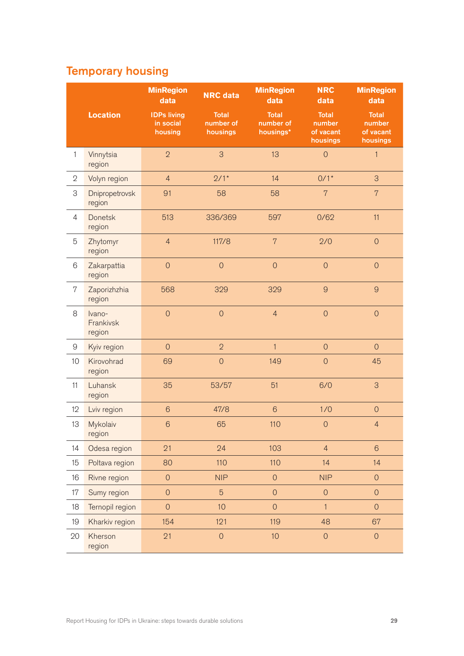# Temporary housing

|                           |                               | <b>MinRegion</b><br>data                   | <b>NRC</b> data                       | <b>MinRegion</b><br>data               | <b>NRC</b><br>data                              | <b>MinRegion</b><br>data                        |
|---------------------------|-------------------------------|--------------------------------------------|---------------------------------------|----------------------------------------|-------------------------------------------------|-------------------------------------------------|
|                           | <b>Location</b>               | <b>IDPs living</b><br>in social<br>housing | <b>Total</b><br>number of<br>housings | <b>Total</b><br>number of<br>housings* | <b>Total</b><br>number<br>of vacant<br>housings | <b>Total</b><br>number<br>of vacant<br>housings |
| $\mathbf{1}$              | Vinnytsia<br>region           | $\overline{2}$                             | 3                                     | 13                                     | $\mathbf 0$                                     | $\mathbf{1}$                                    |
| $\sqrt{2}$                | Volyn region                  | $\overline{4}$                             | $2/1*$                                | 14                                     | $0/1*$                                          | 3                                               |
| $\ensuremath{\mathsf{3}}$ | Dnipropetrovsk<br>region      | 91                                         | 58                                    | 58                                     | $\overline{7}$                                  | $\overline{7}$                                  |
| $\overline{4}$            | <b>Donetsk</b><br>region      | 513                                        | 336/369                               | 597                                    | 0/62                                            | 11                                              |
| 5                         | Zhytomyr<br>region            | $\overline{4}$                             | 117/8                                 | $\overline{7}$                         | 2/0                                             | $\overline{O}$                                  |
| 6                         | Zakarpattia<br>region         | $\overline{O}$                             | $\overline{O}$                        | $\overline{O}$                         | $\overline{0}$                                  | $\overline{O}$                                  |
| 7                         | Zaporizhzhia<br>region        | 568                                        | 329                                   | 329                                    | $\overline{9}$                                  | $\overline{9}$                                  |
| 8                         | Ivano-<br>Frankivsk<br>region | $\mathsf{O}$                               | $\overline{O}$                        | $\overline{4}$                         | $\mathsf{O}$                                    | $\overline{O}$                                  |
| $\mathcal{G}% _{0}$       | Kyiv region                   | $\mathbf 0$                                | $\overline{2}$                        | 1                                      | $\mathbf 0$                                     | $\overline{0}$                                  |
| 10                        | Kirovohrad<br>region          | 69                                         | $\overline{O}$                        | 149                                    | $\mathsf{O}$                                    | 45                                              |
| 11                        | Luhansk<br>region             | 35                                         | 53/57                                 | 51                                     | 6/0                                             | 3                                               |
| 12                        | Lviv region                   | $6\phantom{1}6$                            | 47/8                                  | $6\phantom{1}6$                        | 1/0                                             | $\mathsf{O}\xspace$                             |
| 13                        | Mykolaiv<br>region            | $6\phantom{1}$                             | 65                                    | 110                                    | $\mathsf{O}$                                    | $\overline{4}$                                  |
| 14                        | Odesa region                  | 21                                         | 24                                    | 103                                    | $\overline{4}$                                  | $6\phantom{a}$                                  |
| 15                        | Poltava region                | 80                                         | 110                                   | 110                                    | 14                                              | 14                                              |
| 16                        | Rivne region                  | $\mathsf O$                                | <b>NIP</b>                            | $\overline{O}$                         | <b>NIP</b>                                      | $\mathsf{O}$                                    |
| 17                        | Sumy region                   | $\mathsf{O}$                               | $\overline{5}$                        | $\mathsf O$                            | $\mathsf{O}\xspace$                             | $\mathsf{O}$                                    |
| 18                        | Ternopil region               | $\overline{0}$                             | 10                                    | $\overline{0}$                         | $\mathbf{1}$                                    | $\overline{O}$                                  |
| 19                        | Kharkiv region                | 154                                        | 121                                   | 119                                    | 48                                              | 67                                              |
| 20                        | Kherson<br>region             | 21                                         | $\overline{O}$                        | 10                                     | $\overline{O}$                                  | $\mathsf{O}\xspace$                             |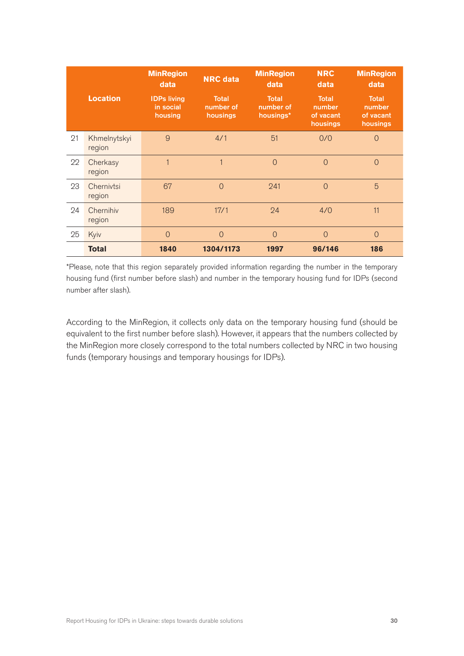|    |                        | <b>MinRegion</b><br>data                   | <b>NRC</b> data                       | <b>MinRegion</b><br>data               | <b>NRC</b><br>data                       | <b>MinRegion</b><br>data                        |
|----|------------------------|--------------------------------------------|---------------------------------------|----------------------------------------|------------------------------------------|-------------------------------------------------|
|    | <b>Location</b>        | <b>IDPs living</b><br>in social<br>housing | <b>Total</b><br>number of<br>housings | <b>Total</b><br>number of<br>housings* | Total<br>number<br>of vacant<br>housings | <b>Total</b><br>number<br>of vacant<br>housings |
| 21 | Khmelnytskyi<br>region | 9                                          | 4/1                                   | 51                                     | 0/0                                      | $\Omega$                                        |
| 22 | Cherkasy<br>region     | 1                                          | $\overline{1}$                        | $\Omega$                               | $\overline{0}$                           | $\Omega$                                        |
| 23 | Chernivtsi<br>region   | 67                                         | $\Omega$                              | 241                                    | $\Omega$                                 | 5                                               |
| 24 | Chernihiv<br>region    | 189                                        | 17/1                                  | 24                                     | 4/0                                      | 11                                              |
| 25 | Kyiv                   | $\overline{0}$                             | $\Omega$                              | $\Omega$                               | $\overline{0}$                           | $\Omega$                                        |
|    | <b>Total</b>           | 1840                                       | 1304/1173                             | 1997                                   | 96/146                                   | 186                                             |

\*Please, note that this region separately provided information regarding the number in the temporary housing fund (first number before slash) and number in the temporary housing fund for IDPs (second number after slash).

According to the MinRegion, it collects only data on the temporary housing fund (should be equivalent to the first number before slash). However, it appears that the numbers collected by the MinRegion more closely correspond to the total numbers collected by NRC in two housing funds (temporary housings and temporary housings for IDPs).